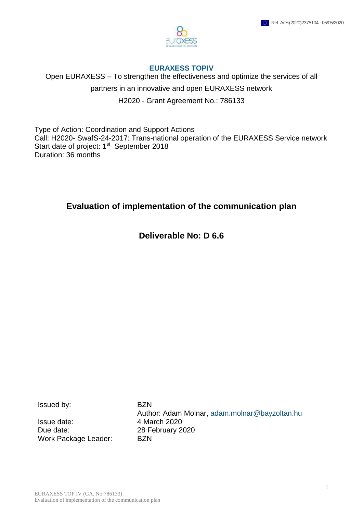

#### **EURAXESS TOPIV**

Open EURAXESS – To strengthen the effectiveness and optimize the services of all partners in an innovative and open EURAXESS network H2020 - Grant Agreement No.: 786133

Type of Action: Coordination and Support Actions Call: H2020- SwafS-24-2017: Trans-national operation of the EURAXESS Service network Start date of project: 1<sup>st</sup> September 2018 Duration: 36 months

# **Evaluation of implementation of the communication plan**

**Deliverable No: D 6.6**

Issued by: BZN

Issue date: 4 March 2020 Due date: 28 February 2020 Work Package Leader: BZN

Author: Adam Molnar, [adam.molnar@bayzoltan.hu](mailto:adam.molnar@bayzoltan.hu)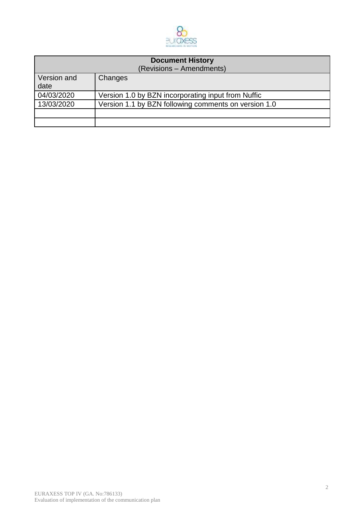

| <b>Document History</b><br>(Revisions - Amendments) |                                                      |  |
|-----------------------------------------------------|------------------------------------------------------|--|
| Version and<br>date                                 | Changes                                              |  |
| 04/03/2020                                          | Version 1.0 by BZN incorporating input from Nuffic   |  |
| 13/03/2020                                          | Version 1.1 by BZN following comments on version 1.0 |  |
|                                                     |                                                      |  |
|                                                     |                                                      |  |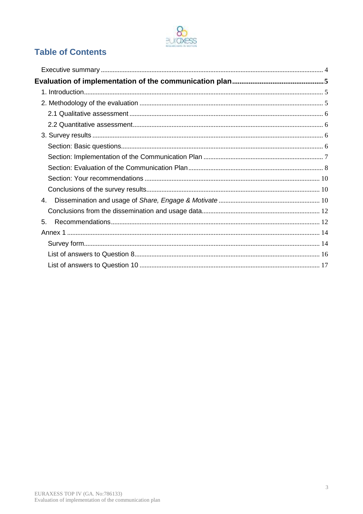

# **Table of Contents**

| 4. |  |
|----|--|
|    |  |
| 5. |  |
|    |  |
|    |  |
|    |  |
|    |  |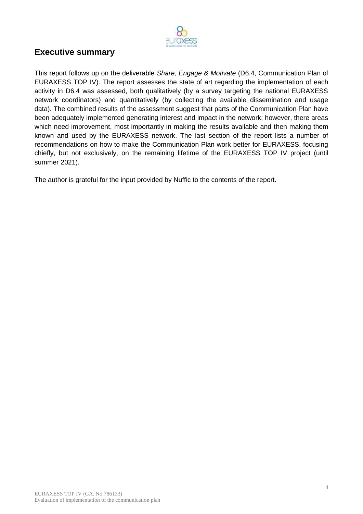

# <span id="page-3-0"></span>**Executive summary**

This report follows up on the deliverable *Share, Engage & Motivate* (D6.4, Communication Plan of EURAXESS TOP IV). The report assesses the state of art regarding the implementation of each activity in D6.4 was assessed, both qualitatively (by a survey targeting the national EURAXESS network coordinators) and quantitatively (by collecting the available dissemination and usage data). The combined results of the assessment suggest that parts of the Communication Plan have been adequately implemented generating interest and impact in the network; however, there areas which need improvement, most importantly in making the results available and then making them known and used by the EURAXESS network. The last section of the report lists a number of recommendations on how to make the Communication Plan work better for EURAXESS, focusing chiefly, but not exclusively, on the remaining lifetime of the EURAXESS TOP IV project (until summer 2021).

The author is grateful for the input provided by Nuffic to the contents of the report.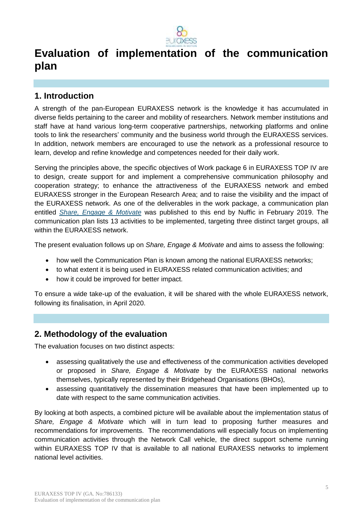

# <span id="page-4-0"></span>**Evaluation of implementation of the communication plan**

# <span id="page-4-1"></span>**1. Introduction**

A strength of the pan-European EURAXESS network is the knowledge it has accumulated in diverse fields pertaining to the career and mobility of researchers. Network member institutions and staff have at hand various long-term cooperative partnerships, networking platforms and online tools to link the researchers' community and the business world through the EURAXESS services. In addition, network members are encouraged to use the network as a professional resource to learn, develop and refine knowledge and competences needed for their daily work.

Serving the principles above, the specific objectives of Work package 6 in EURAXESS TOP IV are to design, create support for and implement a comprehensive communication philosophy and cooperation strategy; to enhance the attractiveness of the EURAXESS network and embed EURAXESS stronger in the European Research Area; and to raise the visibility and the impact of the EURAXESS network. As one of the deliverables in the work package, a communication plan entitled *[Share, Engage & Motivate](https://euraxess.ec.europa.eu/file/64306/download?token=jghRBYNF)* was published to this end by Nuffic in February 2019. The communication plan lists 13 activities to be implemented, targeting three distinct target groups, all within the EURAXESS network.

The present evaluation follows up on *Share, Engage & Motivate* and aims to assess the following:

- how well the Communication Plan is known among the national EURAXESS networks;
- to what extent it is being used in EURAXESS related communication activities; and
- how it could be improved for better impact.

To ensure a wide take-up of the evaluation, it will be shared with the whole EURAXESS network, following its finalisation, in April 2020.

# <span id="page-4-2"></span>**2. Methodology of the evaluation**

The evaluation focuses on two distinct aspects:

- assessing qualitatively the use and effectiveness of the communication activities developed or proposed in *Share, Engage & Motivate* by the EURAXESS national networks themselves, typically represented by their Bridgehead Organisations (BHOs),
- assessing quantitatively the dissemination measures that have been implemented up to date with respect to the same communication activities.

By looking at both aspects, a combined picture will be available about the implementation status of *Share, Engage & Motivate* which will in turn lead to proposing further measures and recommendations for improvements. The recommendations will especially focus on implementing communication activities through the Network Call vehicle, the direct support scheme running within EURAXESS TOP IV that is available to all national EURAXESS networks to implement national level activities.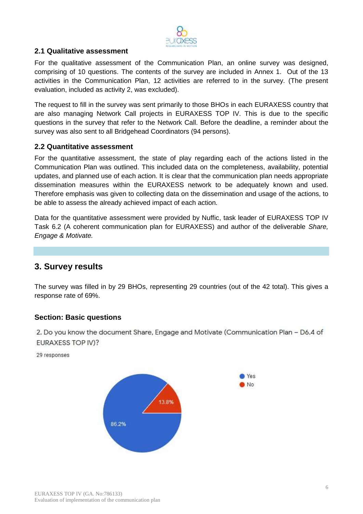

## <span id="page-5-0"></span>**2.1 Qualitative assessment**

For the qualitative assessment of the Communication Plan, an online survey was designed, comprising of 10 questions. The contents of the survey are included in Annex 1. Out of the 13 activities in the Communication Plan, 12 activities are referred to in the survey. (The present evaluation, included as activity 2, was excluded).

The request to fill in the survey was sent primarily to those BHOs in each EURAXESS country that are also managing Network Call projects in EURAXESS TOP IV. This is due to the specific questions in the survey that refer to the Network Call. Before the deadline, a reminder about the survey was also sent to all Bridgehead Coordinators (94 persons).

#### <span id="page-5-1"></span>**2.2 Quantitative assessment**

For the quantitative assessment, the state of play regarding each of the actions listed in the Communication Plan was outlined. This included data on the completeness, availability, potential updates, and planned use of each action. It is clear that the communication plan needs appropriate dissemination measures within the EURAXESS network to be adequately known and used. Therefore emphasis was given to collecting data on the dissemination and usage of the actions, to be able to assess the already achieved impact of each action.

Data for the quantitative assessment were provided by Nuffic, task leader of EURAXESS TOP IV Task 6.2 (A coherent communication plan for EURAXESS) and author of the deliverable *Share, Engage & Motivate.*

# <span id="page-5-2"></span>**3. Survey results**

The survey was filled in by 29 BHOs, representing 29 countries (out of the 42 total). This gives a response rate of 69%.

#### <span id="page-5-3"></span>**Section: Basic questions**

2. Do you know the document Share, Engage and Motivate (Communication Plan - D6.4 of EURAXESS TOP IV)?

29 responses

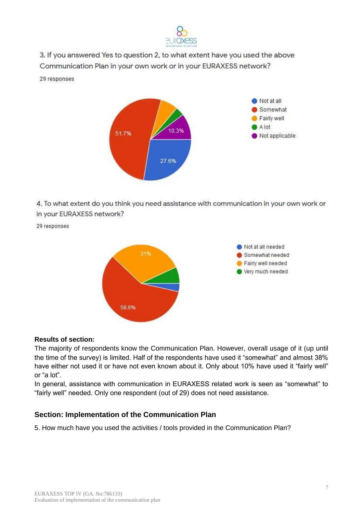

3. If you answered Yes to question 2, to what extent have you used the above Communication Plan in your own work or in your EURAXESS network?

29 responses



4. To what extent do you think you need assistance with communication in your own work or in your EURAXESS network?

29 responses



#### **Results of section:**

The majority of respondents know the Communication Plan. However, overall usage of it (up until the time of the survey) is limited. Half of the respondents have used it "somewhat" and almost 38% have either not used it or have not even known about it. Only about 10% have used it "fairly well" or "a lot".

In general, assistance with communication in EURAXESS related work is seen as "somewhat" to "fairly well" needed. Only one respondent (out of 29) does not need assistance.

## <span id="page-6-0"></span>**Section: Implementation of the Communication Plan**

5. How much have you used the activities / tools provided in the Communication Plan?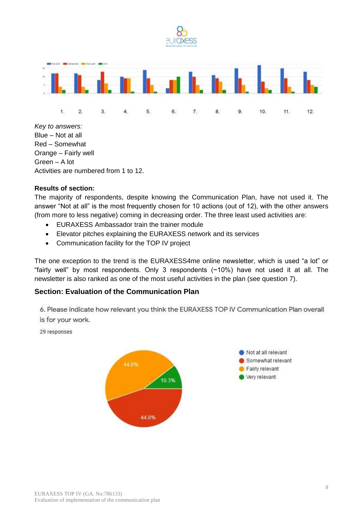

*Key to answers:* Blue – Not at all Red – Somewhat Orange – Fairly well Green – A lot Activities are numbered from 1 to 12.

#### **Results of section:**

The majority of respondents, despite knowing the Communication Plan, have not used it. The answer "Not at all" is the most frequently chosen for 10 actions (out of 12), with the other answers (from more to less negative) coming in decreasing order. The three least used activities are:

- EURAXESS Ambassador train the trainer module
- Elevator pitches explaining the EURAXESS network and its services
- Communication facility for the TOP IV project

The one exception to the trend is the EURAXESS4me online newsletter, which is used "a lot" or "fairly well" by most respondents. Only 3 respondents (~10%) have not used it at all. The newsletter is also ranked as one of the most useful activities in the plan (see question 7).

## <span id="page-7-0"></span>**Section: Evaluation of the Communication Plan**

6. Please indicate how relevant you think the EURAXESS TOP IV Communication Plan overall is for your work.

29 responses

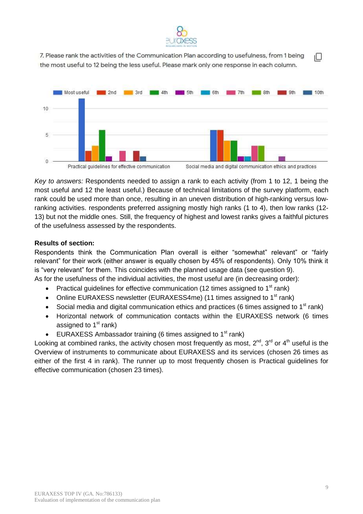

7. Please rank the activities of the Communication Plan according to usefulness, from 1 being ıО the most useful to 12 being the less useful. Please mark only one response in each column.



*Key to answers:* Respondents needed to assign a rank to each activity (from 1 to 12, 1 being the most useful and 12 the least useful.) Because of technical limitations of the survey platform, each rank could be used more than once, resulting in an uneven distribution of high-ranking versus lowranking activities. respondents preferred assigning mostly high ranks (1 to 4), then low ranks (12- 13) but not the middle ones. Still, the frequency of highest and lowest ranks gives a faithful pictures of the usefulness assessed by the respondents.

#### **Results of section:**

Respondents think the Communication Plan overall is either "somewhat" relevant" or "fairly relevant" for their work (either answer is equally chosen by 45% of respondents). Only 10% think it is "very relevant" for them. This coincides with the planned usage data (see question 9).

As for the usefulness of the individual activities, the most useful are (in decreasing order):

- Practical guidelines for effective communication (12 times assigned to  $1<sup>st</sup>$  rank)
- Online EURAXESS newsletter (EURAXESS4me) (11 times assigned to  $1<sup>st</sup>$  rank)
- Social media and digital communication ethics and practices (6 times assigned to  $1<sup>st</sup>$  rank)
- Horizontal network of communication contacts within the EURAXESS network (6 times assigned to  $1<sup>st</sup>$  rank)
- **EURAXESS Ambassador training (6 times assigned to 1<sup>st</sup> rank)**

Looking at combined ranks, the activity chosen most frequently as most,  $2^{nd}$ ,  $3^{rd}$  or  $4^{th}$  useful is the Overview of instruments to communicate about EURAXESS and its services (chosen 26 times as either of the first 4 in rank). The runner up to most frequently chosen is Practical guidelines for effective communication (chosen 23 times).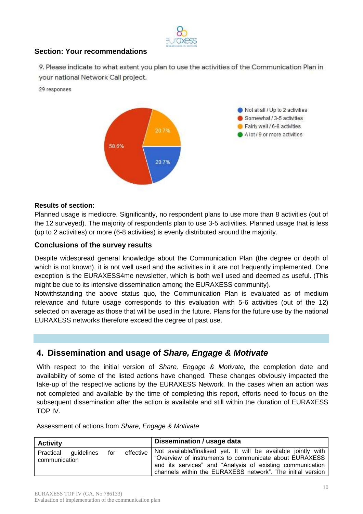

## <span id="page-9-0"></span>**Section: Your recommendations**

9. Please indicate to what extent you plan to use the activities of the Communication Plan in your national Network Call project.

29 responses



#### **Results of section:**

Planned usage is mediocre. Significantly, no respondent plans to use more than 8 activities (out of the 12 surveyed). The majority of respondents plan to use 3-5 activities. Planned usage that is less (up to 2 activities) or more (6-8 activities) is evenly distributed around the majority.

#### <span id="page-9-1"></span>**Conclusions of the survey results**

Despite widespread general knowledge about the Communication Plan (the degree or depth of which is not known), it is not well used and the activities in it are not frequently implemented. One exception is the EURAXESS4me newsletter, which is both well used and deemed as useful. (This might be due to its intensive dissemination among the EURAXESS community).

Notwithstanding the above status quo, the Communication Plan is evaluated as of medium relevance and future usage corresponds to this evaluation with 5-6 activities (out of the 12) selected on average as those that will be used in the future. Plans for the future use by the national EURAXESS networks therefore exceed the degree of past use.

# <span id="page-9-2"></span>**4. Dissemination and usage of** *Share, Engage & Motivate*

With respect to the initial version of *Share, Engage & Motivate,* the completion date and availability of some of the listed actions have changed. These changes obviously impacted the take-up of the respective actions by the EURAXESS Network. In the cases when an action was not completed and available by the time of completing this report, efforts need to focus on the subsequent dissemination after the action is available and still within the duration of EURAXESS TOP IV.

Assessment of actions from *Share, Engage & Motivate*

| <b>Activity</b>                                                | Dissemination / usage data                                                                                                                                                                                                                          |
|----------------------------------------------------------------|-----------------------------------------------------------------------------------------------------------------------------------------------------------------------------------------------------------------------------------------------------|
| effective  <br>for<br>Practical<br>guidelines<br>communication | Not available/finalised yet. It will be available jointly with<br>"Overview of instruments to communicate about EURAXESS<br>and its services" and "Analysis of existing communication<br>channels within the EURAXESS network". The initial version |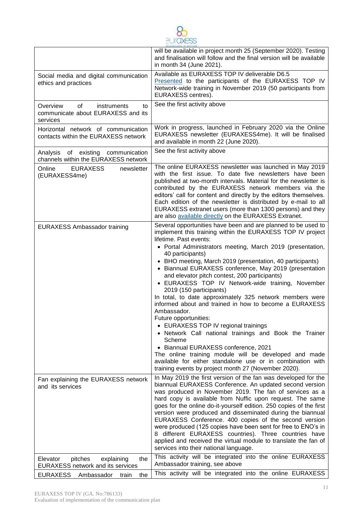

|                                                                                              | will be available in project month 25 (September 2020). Testing                                                                                                                                                                                                                                                                                                                                                                                                                                                                                                                                                                                                                                                                                                                                                                                                                                                                                                                              |
|----------------------------------------------------------------------------------------------|----------------------------------------------------------------------------------------------------------------------------------------------------------------------------------------------------------------------------------------------------------------------------------------------------------------------------------------------------------------------------------------------------------------------------------------------------------------------------------------------------------------------------------------------------------------------------------------------------------------------------------------------------------------------------------------------------------------------------------------------------------------------------------------------------------------------------------------------------------------------------------------------------------------------------------------------------------------------------------------------|
|                                                                                              | and finalisation will follow and the final version will be available<br>in month 34 (June 2021).                                                                                                                                                                                                                                                                                                                                                                                                                                                                                                                                                                                                                                                                                                                                                                                                                                                                                             |
| Social media and digital communication<br>ethics and practices                               | Available as EURAXESS TOP IV deliverable D6.5<br>Presented to the participants of the EURAXESS TOP IV<br>Network-wide training in November 2019 (50 participants from<br>EURAXESS centres).                                                                                                                                                                                                                                                                                                                                                                                                                                                                                                                                                                                                                                                                                                                                                                                                  |
| Overview<br>of<br><i>instruments</i><br>to<br>communicate about EURAXESS and its<br>services | See the first activity above                                                                                                                                                                                                                                                                                                                                                                                                                                                                                                                                                                                                                                                                                                                                                                                                                                                                                                                                                                 |
| Horizontal network of communication<br>contacts within the EURAXESS network                  | Work in progress, launched in February 2020 via the Online<br>EURAXESS newsletter (EURAXESS4me). It will be finalised<br>and available in month 22 (June 2020).                                                                                                                                                                                                                                                                                                                                                                                                                                                                                                                                                                                                                                                                                                                                                                                                                              |
| Analysis of existing communication<br>channels within the EURAXESS network                   | See the first activity above                                                                                                                                                                                                                                                                                                                                                                                                                                                                                                                                                                                                                                                                                                                                                                                                                                                                                                                                                                 |
| Online<br><b>EURAXESS</b><br>newsletter<br>(EURAXESS4me)                                     | The online EURAXESS newsletter was launched in May 2019<br>with the first issue. To date five newsletters have been<br>published at two-month intervals. Material for the newsletter is<br>contributed by the EURAXESS network members via the<br>editors' call for content and directly by the editors themselves.<br>Each edition of the newsletter is distributed by e-mail to all<br>EURAXESS extranet users (more than 1300 persons) and they<br>are also available directly on the EURAXESS Extranet.                                                                                                                                                                                                                                                                                                                                                                                                                                                                                  |
| <b>EURAXESS Ambassador training</b>                                                          | Several opportunities have been and are planned to be used to<br>implement this training within the EURAXESS TOP IV project<br>lifetime. Past events:<br>• Portal Administrators meeting, March 2019 (presentation,<br>40 participants)<br>• BHO meeting, March 2019 (presentation, 40 participants)<br>Biannual EURAXESS conference, May 2019 (presentation<br>and elevator pitch contest, 200 participants)<br>EURAXESS TOP IV Network-wide training, November<br>2019 (150 participants)<br>In total, to date approximately 325 network members were<br>informed about and trained in how to become a EURAXESS<br>Ambassador.<br>Future opportunities:<br>• EURAXESS TOP IV regional trainings<br>• Network Call national trainings and Book the Trainer<br>Scheme<br>• Biannual EURAXESS conference, 2021<br>The online training module will be developed and made<br>available for either standalone use or in combination with<br>training events by project month 27 (November 2020). |
| Fan explaining the EURAXESS network<br>and its services                                      | In May 2019 the first version of the fan was developed for the<br>biannual EURAXESS Conference. An updated second version<br>was produced in November 2019. The fan of services as a<br>hard copy is available from Nuffic upon request. The same<br>goes for the online do-it-yourself edition. 250 copies of the first<br>version were produced and disseminated during the biannual<br>EURAXESS Conference. 400 copies of the second version<br>were produced (125 copies have been sent for free to ENO's in<br>8 different EURAXESS countries). Three countries have<br>applied and received the virtual module to translate the fan of<br>services into their national language.                                                                                                                                                                                                                                                                                                       |
| pitches<br>explaining<br>the<br>Elevator<br><b>EURAXESS network and its services</b>         | This activity will be integrated into the online EURAXESS<br>Ambassador training, see above                                                                                                                                                                                                                                                                                                                                                                                                                                                                                                                                                                                                                                                                                                                                                                                                                                                                                                  |
| <b>EURAXESS</b><br>Ambassador<br>the<br>train                                                | This activity will be integrated into the online EURAXESS                                                                                                                                                                                                                                                                                                                                                                                                                                                                                                                                                                                                                                                                                                                                                                                                                                                                                                                                    |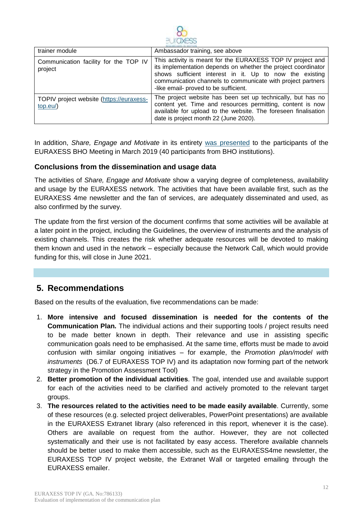

| trainer module                                       | Ambassador training, see above                                                                                                                                                                                                                                                                 |
|------------------------------------------------------|------------------------------------------------------------------------------------------------------------------------------------------------------------------------------------------------------------------------------------------------------------------------------------------------|
| Communication facility for the TOP IV<br>project     | This activity is meant for the EURAXESS TOP IV project and<br>its implementation depends on whether the project coordinator<br>shows sufficient interest in it. Up to now the existing<br>communication channels to communicate with project partners<br>-like email- proved to be sufficient. |
| TOPIV project website (https://euraxess-<br>top.eu/) | The project website has been set up technically, but has no<br>content yet. Time and resources permitting, content is now<br>available for upload to the website. The foreseen finalisation<br>date is project month 22 (June 2020).                                                           |

In addition, *Share, Engage and Motivate* in its entirety [was presented](https://euraxess.ec.europa.eu/file/53746/download?token=q38tbIBa) to the participants of the EURAXESS BHO Meeting in March 2019 (40 participants from BHO institutions).

#### <span id="page-11-0"></span>**Conclusions from the dissemination and usage data**

The activities of *Share, Engage and Motivate* show a varying degree of completeness, availability and usage by the EURAXESS network. The activities that have been available first, such as the EURAXESS 4me newsletter and the fan of services, are adequately disseminated and used, as also confirmed by the survey.

The update from the first version of the document confirms that some activities will be available at a later point in the project, including the Guidelines, the overview of instruments and the analysis of existing channels. This creates the risk whether adequate resources will be devoted to making them known and used in the network – especially because the Network Call, which would provide funding for this, will close in June 2021.

# <span id="page-11-1"></span>**5. Recommendations**

Based on the results of the evaluation, five recommendations can be made:

- 1. **More intensive and focused dissemination is needed for the contents of the Communication Plan.** The individual actions and their supporting tools / project results need to be made better known in depth. Their relevance and use in assisting specific communication goals need to be emphasised. At the same time, efforts must be made to avoid confusion with similar ongoing initiatives – for example, the *Promotion plan/model with instruments* (D6.7 of EURAXESS TOP IV) and its adaptation now forming part of the network strategy in the Promotion Assessment Tool)
- 2. **Better promotion of the individual activities**. The goal, intended use and available support for each of the activities need to be clarified and actively promoted to the relevant target groups.
- 3. **The resources related to the activities need to be made easily available**. Currently, some of these resources (e.g. selected project deliverables, PowerPoint presentations) are available in the EURAXESS Extranet library (also referenced in this report, whenever it is the case). Others are available on request from the author. However, they are not collected systematically and their use is not facilitated by easy access. Therefore available channels should be better used to make them accessible, such as the EURAXESS4me newsletter, the EURAXESS TOP IV project website, the Extranet Wall or targeted emailing through the EURAXESS emailer.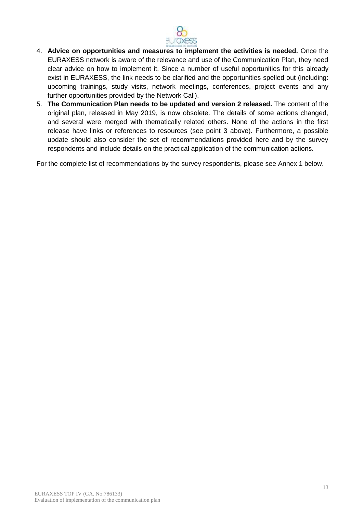

- 4. **Advice on opportunities and measures to implement the activities is needed.** Once the EURAXESS network is aware of the relevance and use of the Communication Plan, they need clear advice on how to implement it. Since a number of useful opportunities for this already exist in EURAXESS, the link needs to be clarified and the opportunities spelled out (including: upcoming trainings, study visits, network meetings, conferences, project events and any further opportunities provided by the Network Call).
- 5. **The Communication Plan needs to be updated and version 2 released.** The content of the original plan, released in May 2019, is now obsolete. The details of some actions changed, and several were merged with thematically related others. None of the actions in the first release have links or references to resources (see point 3 above). Furthermore, a possible update should also consider the set of recommendations provided here and by the survey respondents and include details on the practical application of the communication actions.

For the complete list of recommendations by the survey respondents, please see Annex 1 below.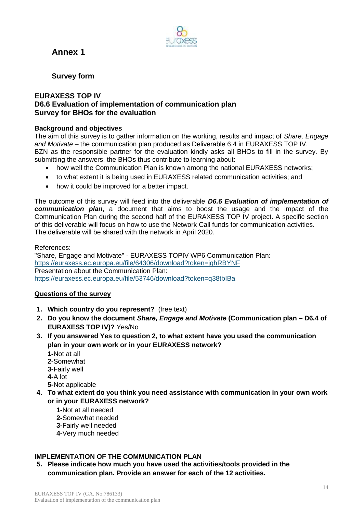<span id="page-13-0"></span>



<span id="page-13-1"></span>**Survey form**

#### **EURAXESS TOP IV D6.6 Evaluation of implementation of communication plan Survey for BHOs for the evaluation**

#### **Background and objectives**

The aim of this survey is to gather information on the working, results and impact of *Share, Engage and Motivate* – the communication plan produced as Deliverable 6.4 in EURAXESS TOP IV. BZN as the responsible partner for the evaluation kindly asks all BHOs to fill in the survey. By submitting the answers, the BHOs thus contribute to learning about:

- how well the Communication Plan is known among the national EURAXESS networks:
- to what extent it is being used in EURAXESS related communication activities; and
- how it could be improved for a better impact.

The outcome of this survey will feed into the deliverable *D6.6 Evaluation of implementation of communication plan*, a document that aims to boost the usage and the impact of the Communication Plan during the second half of the EURAXESS TOP IV project. A specific section of this deliverable will focus on how to use the Network Call funds for communication activities. The deliverable will be shared with the network in April 2020.

References:

"Share, Engage and Motivate" - EURAXESS TOPIV WP6 Communication Plan: <https://euraxess.ec.europa.eu/file/64306/download?token=jghRBYNF> Presentation about the Communication Plan: <https://euraxess.ec.europa.eu/file/53746/download?token=q38tbIBa>

## **Questions of the survey**

- **1. Which country do you represent?** (free text)
- **2. Do you know the document** *Share, Engage and Motivate* **(Communication plan – D6.4 of EURAXESS TOP IV)?** Yes/No
- **3. If you answered Yes to question 2, to what extent have you used the communication plan in your own work or in your EURAXESS network?** 
	- **1-**Not at all **2-**Somewhat **3-**Fairly well **4-**A lot
	- **5-**Not applicable
- **4. To what extent do you think you need assistance with communication in your own work or in your EURAXESS network?**
	- **1-**Not at all needed **2-**Somewhat needed
	- **3-**Fairly well needed
	- **4-**Very much needed

# **IMPLEMENTATION OF THE COMMUNICATION PLAN**

**5. Please indicate how much you have used the activities/tools provided in the communication plan. Provide an answer for each of the 12 activities.**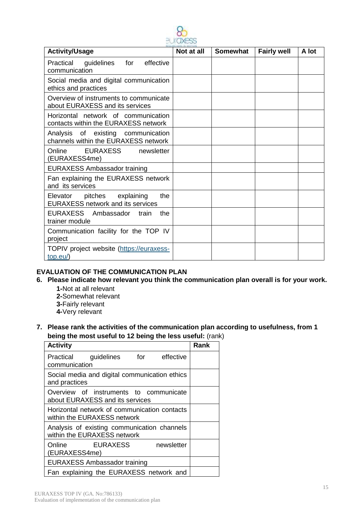| - - - MAG                                                                         |            |                 |                    |       |
|-----------------------------------------------------------------------------------|------------|-----------------|--------------------|-------|
| <b>Activity/Usage</b>                                                             | Not at all | <b>Somewhat</b> | <b>Fairly well</b> | A lot |
| effective<br>Practical<br>guidelines<br>for<br>communication                      |            |                 |                    |       |
| Social media and digital communication<br>ethics and practices                    |            |                 |                    |       |
| Overview of instruments to communicate<br>about EURAXESS and its services         |            |                 |                    |       |
| Horizontal network of communication<br>contacts within the EURAXESS network       |            |                 |                    |       |
| Analysis of existing communication<br>channels within the EURAXESS network        |            |                 |                    |       |
| Online<br>EURAXESS<br>newsletter<br>(EURAXESS4me)                                 |            |                 |                    |       |
| <b>EURAXESS Ambassador training</b>                                               |            |                 |                    |       |
| Fan explaining the EURAXESS network<br>and its services                           |            |                 |                    |       |
| the<br>Elevator<br>pitches explaining<br><b>EURAXESS network and its services</b> |            |                 |                    |       |
| EURAXESS Ambassador<br>the<br>train<br>trainer module                             |            |                 |                    |       |
| Communication facility for the TOP IV<br>project                                  |            |                 |                    |       |
| TOPIV project website (https://euraxess-<br>$top.eu$ )                            |            |                 |                    |       |

#### **EVALUATION OF THE COMMUNICATION PLAN**

- **6. Please indicate how relevant you think the communication plan overall is for your work.** 
	- **1-**Not at all relevant
	- **2-**Somewhat relevant
	- **3-**Fairly relevant
	- **4-**Very relevant
- **7. Please rank the activities of the communication plan according to usefulness, from 1 being the most useful to 12 being the less useful:** (rank)

| <b>Activity</b>                                                             | Rank |
|-----------------------------------------------------------------------------|------|
| Practical guidelines for effective<br>communication                         |      |
| Social media and digital communication ethics<br>and practices              |      |
| Overview of instruments to communicate<br>about EURAXESS and its services   |      |
| Horizontal network of communication contacts<br>within the EURAXESS network |      |
| Analysis of existing communication channels<br>within the EURAXESS network  |      |
| Online EURAXESS<br>newsletter<br>(EURAXESS4me)                              |      |
| <b>EURAXESS Ambassador training</b>                                         |      |
| Fan explaining the EURAXESS network and                                     |      |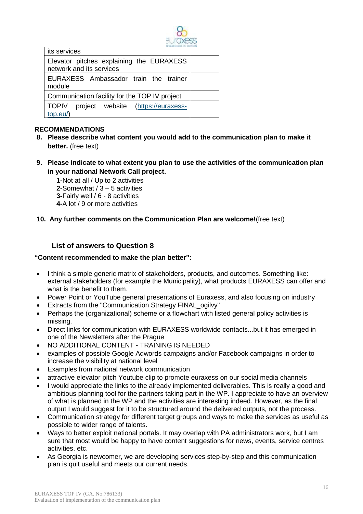

| its services                                                          |  |
|-----------------------------------------------------------------------|--|
| Elevator pitches explaining the EURAXESS<br>network and its services  |  |
| EURAXESS Ambassador train the trainer<br>module                       |  |
| Communication facility for the TOP IV project                         |  |
| <b>TOPIV</b><br>project website (https://euraxess-<br>$\mid$ top.eu/) |  |

## **RECOMMENDATIONS**

- **8. Please describe what content you would add to the communication plan to make it better.** (free text)
- **9. Please indicate to what extent you plan to use the activities of the communication plan in your national Network Call project.**

**1-**Not at all / Up to 2 activities **2-**Somewhat / 3 – 5 activities **3-**Fairly well / 6 - 8 activities **4-**A lot / 9 or more activities

**10. Any further comments on the Communication Plan are welcome!**(free text)

## **List of answers to Question 8**

#### <span id="page-15-0"></span>**"Content recommended to make the plan better":**

- I think a simple generic matrix of stakeholders, products, and outcomes. Something like: external stakeholders (for example the Municipality), what products EURAXESS can offer and what is the benefit to them.
- Power Point or YouTube general presentations of Euraxess, and also focusing on industry
- Extracts from the "Communication Strategy FINAL\_ogilvy"
- Perhaps the (organizational) scheme or a flowchart with listed general policy activities is missing.
- Direct links for communication with EURAXESS worldwide contacts...but it has emerged in one of the Newsletters after the Prague
- NO ADDITIONAL CONTENT TRAINING IS NEEDED
- examples of possible Google Adwords campaigns and/or Facebook campaigns in order to increase the visibility at national level
- Examples from national network communication
- attractive elevator pitch Youtube clip to promote euraxess on our social media channels
- I would appreciate the links to the already implemented deliverables. This is really a good and ambitious planning tool for the partners taking part in the WP. I appreciate to have an overview of what is planned in the WP and the activities are interesting indeed. However, as the final output I would suggest for it to be structured around the delivered outputs, not the process.
- Communication strategy for different target groups and ways to make the services as useful as possible to wider range of talents.
- Ways to better exploit national portals. It may overlap with PA administrators work, but I am sure that most would be happy to have content suggestions for news, events, service centres activities, etc.
- As Georgia is newcomer, we are developing services step-by-step and this communication plan is quit useful and meets our current needs.